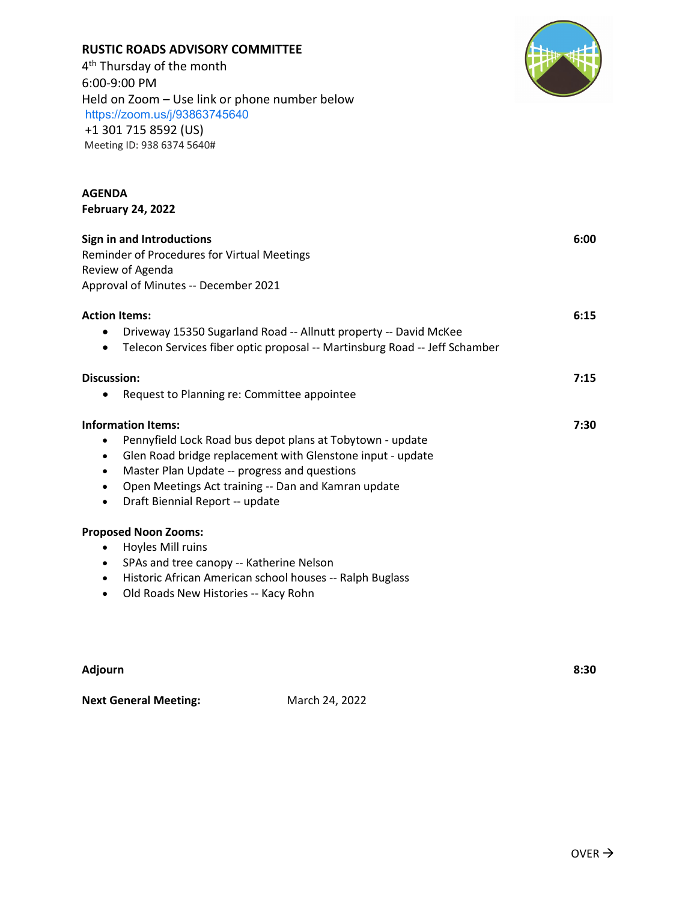| Adjourn                      |                | 8:30 |
|------------------------------|----------------|------|
| <b>Next General Meeting:</b> | March 24, 2022 |      |
|                              |                |      |

Approval of Minutes -- December 2021 **Action Items: 6:15** • Driveway 15350 Sugarland Road -- Allnutt property -- David McKee • Telecon Services fiber optic proposal -- Martinsburg Road -- Jeff Schamber **Discussion: 7:15** • Request to Planning re: Committee appointee **Information Items: 7:30** • Pennyfield Lock Road bus depot plans at Tobytown - update • Glen Road bridge replacement with Glenstone input - update • Master Plan Update -- progress and questions • Open Meetings Act training -- Dan and Kamran update • Draft Biennial Report -- update **Proposed Noon Zooms:** • Hoyles Mill ruins • SPAs and tree canopy -- Katherine Nelson

• Historic African American school houses -- Ralph Buglass

• Old Roads New Histories -- Kacy Rohn

**Sign in and Introductions 6:00** Reminder of Procedures for Virtual Meetings Review of Agenda

**AGENDA** 

**February 24, 2022**

## 4<sup>th</sup> Thursday of the month 6:00-9:00 PM Held on Zoom – Use link or phone number below <https://zoom.us/j/93863745640> +1 301 715 8592 (US) Meeting ID: 938 6374 5640#